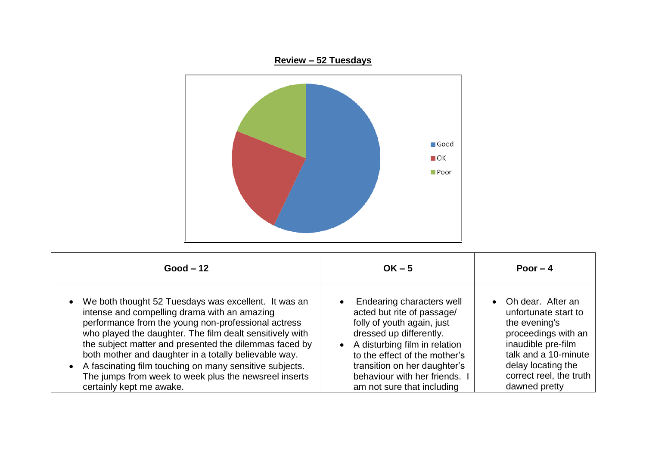

| $Good - 12$                                                                                                                                                                                                                                                                                                                                                                                                                                                                                    | $OK - 5$                                                                                                                                                                                                                                                                        | Poor $-4$                                                                                                                                                                                                      |
|------------------------------------------------------------------------------------------------------------------------------------------------------------------------------------------------------------------------------------------------------------------------------------------------------------------------------------------------------------------------------------------------------------------------------------------------------------------------------------------------|---------------------------------------------------------------------------------------------------------------------------------------------------------------------------------------------------------------------------------------------------------------------------------|----------------------------------------------------------------------------------------------------------------------------------------------------------------------------------------------------------------|
| • We both thought 52 Tuesdays was excellent. It was an<br>intense and compelling drama with an amazing<br>performance from the young non-professional actress<br>who played the daughter. The film dealt sensitively with<br>the subject matter and presented the dilemmas faced by<br>both mother and daughter in a totally believable way.<br>• A fascinating film touching on many sensitive subjects.<br>The jumps from week to week plus the newsreel inserts<br>certainly kept me awake. | Endearing characters well<br>acted but rite of passage/<br>folly of youth again, just<br>dressed up differently.<br>A disturbing film in relation<br>to the effect of the mother's<br>transition on her daughter's<br>behaviour with her friends.<br>am not sure that including | Oh dear. After an<br>$\bullet$<br>unfortunate start to<br>the evening's<br>proceedings with an<br>inaudible pre-film<br>talk and a 10-minute<br>delay locating the<br>correct reel, the truth<br>dawned pretty |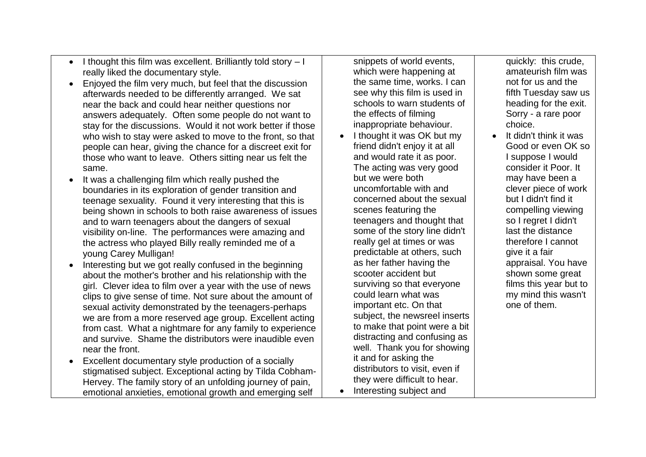- $\bullet$  I thought this film was excellent. Brilliantly told story  $-1$ really liked the documentary style.
- Enjoyed the film very much, but feel that the discussion afterwards needed to be differently arranged. We sat near the back and could hear neither questions nor answers adequately. Often some people do not want to stay for the discussions. Would it not work better if those who wish to stay were asked to move to the front, so that people can hear, giving the chance for a discreet exit for those who want to leave. Others sitting near us felt the same.
- It was a challenging film which really pushed the boundaries in its exploration of gender transition and teenage sexuality. Found it very interesting that this is being shown in schools to both raise awareness of issues and to warn teenagers about the dangers of sexual visibility on-line. The performances were amazing and the actress who played Billy really reminded me of a young Carey Mulligan!
- Interesting but we got really confused in the beginning about the mother's brother and his relationship with the girl. Clever idea to film over a year with the use of news clips to give sense of time. Not sure about the amount of sexual activity demonstrated by the teenagers-perhaps we are from a more reserved age group. Excellent acting from cast. What a nightmare for any family to experience and survive. Shame the distributors were inaudible even near the front.
- Excellent documentary style production of a socially stigmatised subject. Exceptional acting by Tilda Cobham-Hervey. The family story of an unfolding journey of pain, emotional anxieties, emotional growth and emerging self

snippets of world events, which were happening at the same time, works. I can see why this film is used in schools to warn students of the effects of filming inappropriate behaviour.

• I thought it was OK but my friend didn't enjoy it at all and would rate it as poor. The acting was very good but we were both uncomfortable with and concerned about the sexual scenes featuring the teenagers and thought that some of the story line didn't really gel at times or was predictable at others, such as her father having the scooter accident but surviving so that everyone could learn what was important etc. On that subject, the newsreel inserts to make that point were a bit distracting and confusing as well. Thank you for showing it and for asking the distributors to visit, even if they were difficult to hear. • Interesting subject and

quickly: this crude, amateurish film was not for us and the fifth Tuesday saw us heading for the exit. Sorry - a rare poor choice.

 It didn't think it was Good or even OK so I suppose I would consider it Poor. It may have been a clever piece of work but I didn't find it compelling viewing so I regret I didn't last the distance therefore I cannot give it a fair appraisal. You have shown some great films this year but to my mind this wasn't one of them.